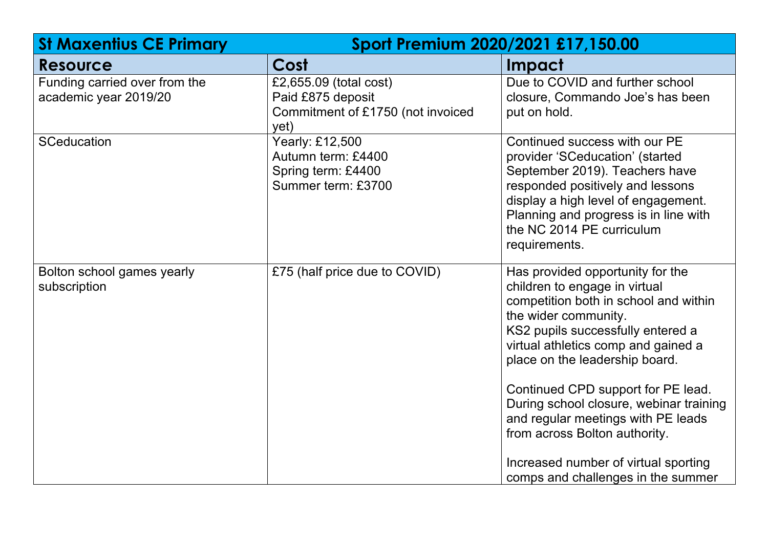| <b>St Maxentius CE Primary</b>                         | Sport Premium 2020/2021 £17,150.00                                                       |                                                                                                                                                                                                                                                                                                                                                                                                                                                                                        |  |
|--------------------------------------------------------|------------------------------------------------------------------------------------------|----------------------------------------------------------------------------------------------------------------------------------------------------------------------------------------------------------------------------------------------------------------------------------------------------------------------------------------------------------------------------------------------------------------------------------------------------------------------------------------|--|
| <b>Resource</b>                                        | Cost                                                                                     | <b>Impact</b>                                                                                                                                                                                                                                                                                                                                                                                                                                                                          |  |
| Funding carried over from the<br>academic year 2019/20 | £2,655.09 (total cost)<br>Paid £875 deposit<br>Commitment of £1750 (not invoiced<br>yet) | Due to COVID and further school<br>closure, Commando Joe's has been<br>put on hold.                                                                                                                                                                                                                                                                                                                                                                                                    |  |
| <b>SCeducation</b>                                     | Yearly: £12,500<br>Autumn term: £4400<br>Spring term: £4400<br>Summer term: £3700        | Continued success with our PE<br>provider 'SCeducation' (started<br>September 2019). Teachers have<br>responded positively and lessons<br>display a high level of engagement.<br>Planning and progress is in line with<br>the NC 2014 PE curriculum<br>requirements.                                                                                                                                                                                                                   |  |
| Bolton school games yearly<br>subscription             | £75 (half price due to COVID)                                                            | Has provided opportunity for the<br>children to engage in virtual<br>competition both in school and within<br>the wider community.<br>KS2 pupils successfully entered a<br>virtual athletics comp and gained a<br>place on the leadership board.<br>Continued CPD support for PE lead.<br>During school closure, webinar training<br>and regular meetings with PE leads<br>from across Bolton authority.<br>Increased number of virtual sporting<br>comps and challenges in the summer |  |